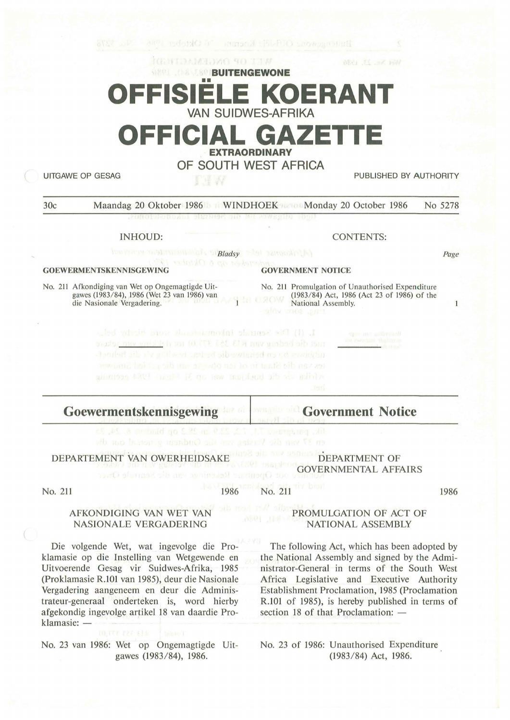# **BUITENGEWONE** FISIELE KOERAN **VAN SUIDWES-AFRIKA OFFICIAL GAZETTE EXTRAORDINARY OF SOUTH WEST AFRICA**

UITGAWE OP GESAG PUBLISHED BY AUTHORITY

30c Maandag 20 Oktober 1986 WINDHOEK Monday 20 October 1986 No 5278

### INHOUD:

**Bladsy** 

**MET OF ONGEMANT HE THE** 

### **GOEWERMENTSKENNISGEWING**

No. 211 Afkondiging van Wet op Ongemagtigde Uitgawes (1983/84), 1986 (Wet 23 van 1986) van die Nasionale Vergadering.

CONTENTS:

Page

 $\mathbf{1}$ 

### **GOVERNMENT NOTICE**

No. 211 Promulgation of Unauthorised Expenditure (1983/84) Act, 1986 (Act 23 of 1986) of the National Assembly.

1. (1) Die Senuale informationals sound bight before tributed be called we below be stractured with factored

### **Goewermentskennisgewing Government Notice**

DEPARTEMENT VAN OWERHEIDSAKE DEPARTMENT OF

GOVERNMENTAL AFFAIRS

No. 211

### 1986 No. 211

1986

## AFKONDIGING VAN WET VAN NASIONALE VERGADERING

Die volgende Wet, wat ingevolge die Proklamasie op die Instelling van Wetgewende en Uitvoerende Gesag vir Suidwes-Afrika, 1985 (Proklamasie R.101 van 1985), deur die Nasionale Vergadering aangeneem en deur die Administrateur-generaal onderteken is, word hierby af gekondig ingevolge artikel 18 van daardie Proklamasie: -

No. 23 van 1986: Wet op Ongemagtigde Uitgawes (1983/84), 1986.

## PROMULGATION OF ACT OF NATIONAL ASSEMBLY

The following Act, which has been adopted by the National Assembly and signed by the Administrator-General in terms of the South West Africa Legislative and Executive Authority Establishment Proclamation, 1985 (Proclamation R.101 of 1985), is hereby published in terms of section 18 of that Proclamation:  $-$ 

No. 23 of 1986: Unauthorised Expenditure (1983/84) Act, 1986.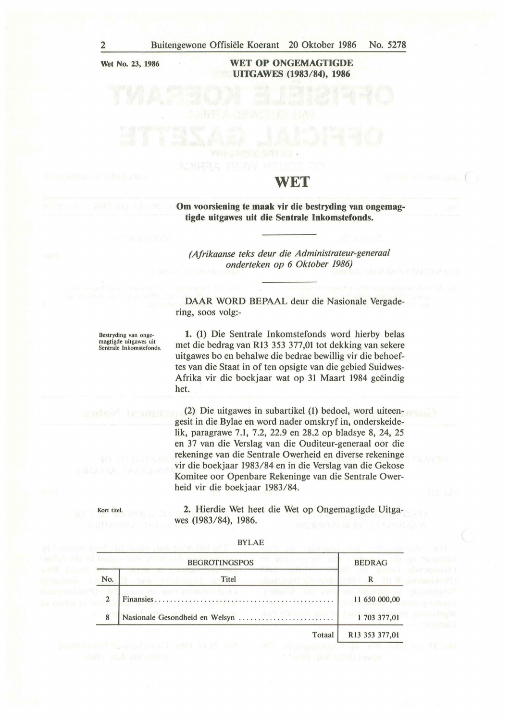**Wet No. 23, 1986** 

### **WET OP ONGEMAGTIGDE UITGAWES (1983/84), 1986**

# **WET**

**Om voorsiening te maak vir die bestryding van ongemagtigde uitgawes uit die Sentrale Inkomstefonds.** 

*(Afrikaanse teks deur die Administrateur-generaal onderteken op 6 Oktober 1986)* 

**DAAR WORD** BEPAAL deur die Nasionale Vergadering, soos volg:-

Bestryding van onge-magtigde uitgawes uit Sentrale lnkomstefonds.

Kort titel.

**1.** (1) Die Sentrale Inkomstefonds word hierby belas met die bedrag van **R13** 353 377,01 tot dekking van sekere uitgawes bo en behalwe die bedrae bewillig vir die behoeftes van die Staat in of ten opsigte van die gebied Suidwes-Afrika vir die boekjaar wat op 31 Maart 1984 geëindig het.

(2) Die uitgawes in subartikel (1) bedoel, word uiteengesit in die Bylae en word nader omskryf in, onderskeidelik, paragrawe 7.1, 7.2, 22.9 en 28.2 op bladsye 8, 24, 25 en 37 van die Verslag van die Ouditeur-generaal oor die rekeninge van die Sentrale Owerheid en diverse rekeninge vir die boekjaar 1983/84 en in die Verslag van die Gekose Komitee oor Openbare Rekeninge van die Sentrale Owerheid vir die boekjaar 1983/84.

**2.** Hierdie Wet heet die Wet op Ongemagtigde Uitgawes (1983/84), 1986.

|                | man ring and a<br><b>BEGROTINGSPOS</b> | <b>BEDRAG</b>  |
|----------------|----------------------------------------|----------------|
| No.            | Titel                                  | R              |
| $\overline{2}$ | same and meaningling is<br>$-21/1000$  | 11 650 000,00  |
| 8              | Nasionale Gesondheid en Welsyn         | 1703 377,01    |
|                | Totaal                                 | R13 353 377,01 |

BYLAE

The parameter and in the old